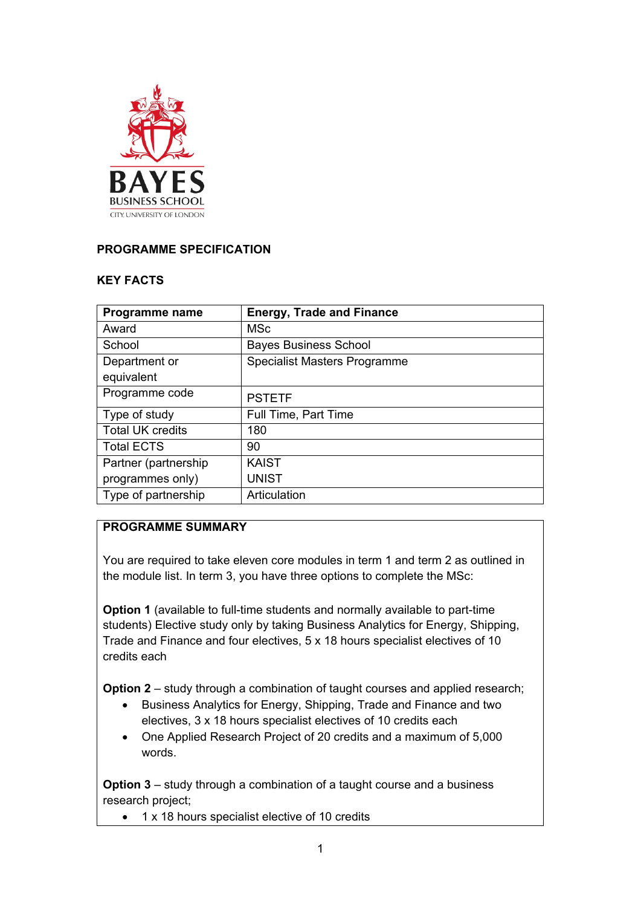

# **PROGRAMME SPECIFICATION**

### **KEY FACTS**

| Programme name          | <b>Energy, Trade and Finance</b>    |
|-------------------------|-------------------------------------|
| Award                   | <b>MSc</b>                          |
| School                  | <b>Bayes Business School</b>        |
| Department or           | <b>Specialist Masters Programme</b> |
| equivalent              |                                     |
| Programme code          | <b>PSTETF</b>                       |
| Type of study           | Full Time, Part Time                |
| <b>Total UK credits</b> | 180                                 |
| <b>Total ECTS</b>       | 90                                  |
| Partner (partnership)   | <b>KAIST</b>                        |
| programmes only)        | <b>UNIST</b>                        |
| Type of partnership     | Articulation                        |

# **PROGRAMME SUMMARY**

You are required to take eleven core modules in term 1 and term 2 as outlined in the module list. In term 3, you have three options to complete the MSc:

**Option 1** (available to full-time students and normally available to part-time students) Elective study only by taking Business Analytics for Energy, Shipping, Trade and Finance and four electives, 5 x 18 hours specialist electives of 10 credits each

**Option 2** – study through a combination of taught courses and applied research;

- Business Analytics for Energy, Shipping, Trade and Finance and two electives, 3 x 18 hours specialist electives of 10 credits each
- One Applied Research Project of 20 credits and a maximum of 5,000 words.

**Option 3** – study through a combination of a taught course and a business research project;

• 1 x 18 hours specialist elective of 10 credits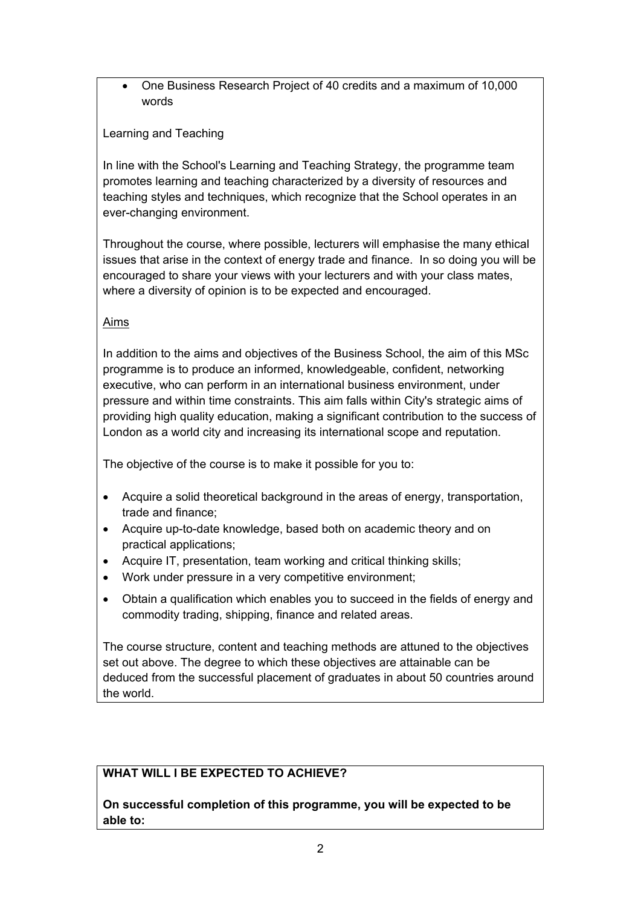• One Business Research Project of 40 credits and a maximum of 10,000 words

## Learning and Teaching

In line with the School's Learning and Teaching Strategy, the programme team promotes learning and teaching characterized by a diversity of resources and teaching styles and techniques, which recognize that the School operates in an ever-changing environment.

Throughout the course, where possible, lecturers will emphasise the many ethical issues that arise in the context of energy trade and finance. In so doing you will be encouraged to share your views with your lecturers and with your class mates, where a diversity of opinion is to be expected and encouraged.

### Aims

In addition to the aims and objectives of the Business School, the aim of this MSc programme is to produce an informed, knowledgeable, confident, networking executive, who can perform in an international business environment, under pressure and within time constraints. This aim falls within City's strategic aims of providing high quality education, making a significant contribution to the success of London as a world city and increasing its international scope and reputation.

The objective of the course is to make it possible for you to:

- Acquire a solid theoretical background in the areas of energy, transportation, trade and finance;
- Acquire up-to-date knowledge, based both on academic theory and on practical applications;
- Acquire IT, presentation, team working and critical thinking skills;
- Work under pressure in a very competitive environment;
- Obtain a qualification which enables you to succeed in the fields of energy and commodity trading, shipping, finance and related areas.

The course structure, content and teaching methods are attuned to the objectives set out above. The degree to which these objectives are attainable can be deduced from the successful placement of graduates in about 50 countries around the world.

# **WHAT WILL I BE EXPECTED TO ACHIEVE?**

**On successful completion of this programme, you will be expected to be able to:**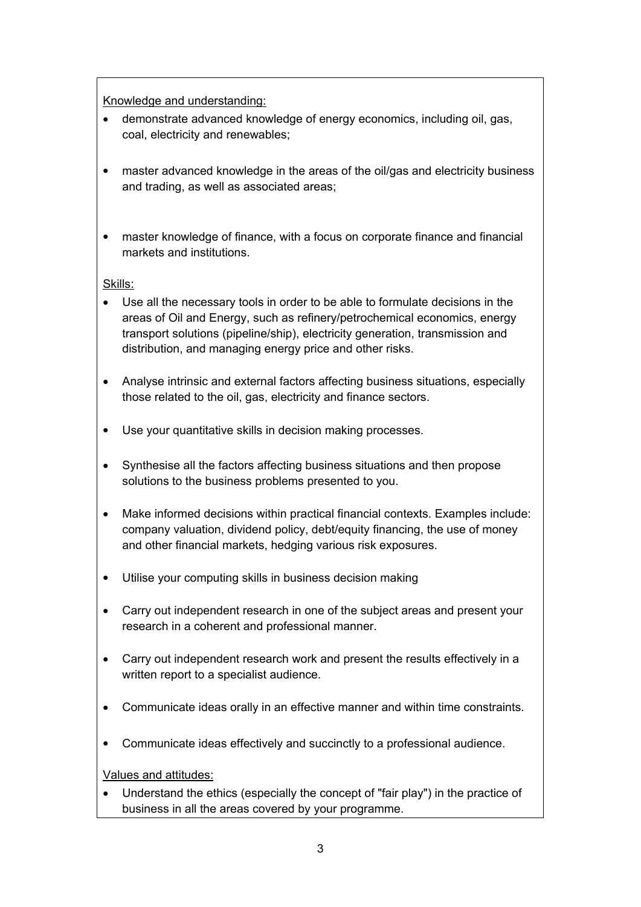Knowledge and understanding:

- demonstrate advanced knowledge of energy economics, including oil, gas, coal, electricity and renewables;
- master advanced knowledge in the areas of the oil/gas and electricity business and trading, as well as associated areas;
- master knowledge of finance, with a focus on corporate finance and financial markets and institutions.

Skills:

- Use all the necessary tools in order to be able to formulate decisions in the areas of Oil and Energy, such as refinery/petrochemical economics, energy transport solutions (pipeline/ship), electricity generation, transmission and distribution, and managing energy price and other risks.
- Analyse intrinsic and external factors affecting business situations, especially those related to the oil, gas, electricity and finance sectors.
- Use your quantitative skills in decision making processes.
- Synthesise all the factors affecting business situations and then propose solutions to the business problems presented to you.
- Make informed decisions within practical financial contexts. Examples include: company valuation, dividend policy, debt/equity financing, the use of money and other financial markets, hedging various risk exposures.
- Utilise your computing skills in business decision making
- Carry out independent research in one of the subject areas and present your research in a coherent and professional manner.
- Carry out independent research work and present the results effectively in a written report to a specialist audience.
- Communicate ideas orally in an effective manner and within time constraints.
- Communicate ideas effectively and succinctly to a professional audience.

Values and attitudes:

• Understand the ethics (especially the concept of "fair play") in the practice of business in all the areas covered by your programme.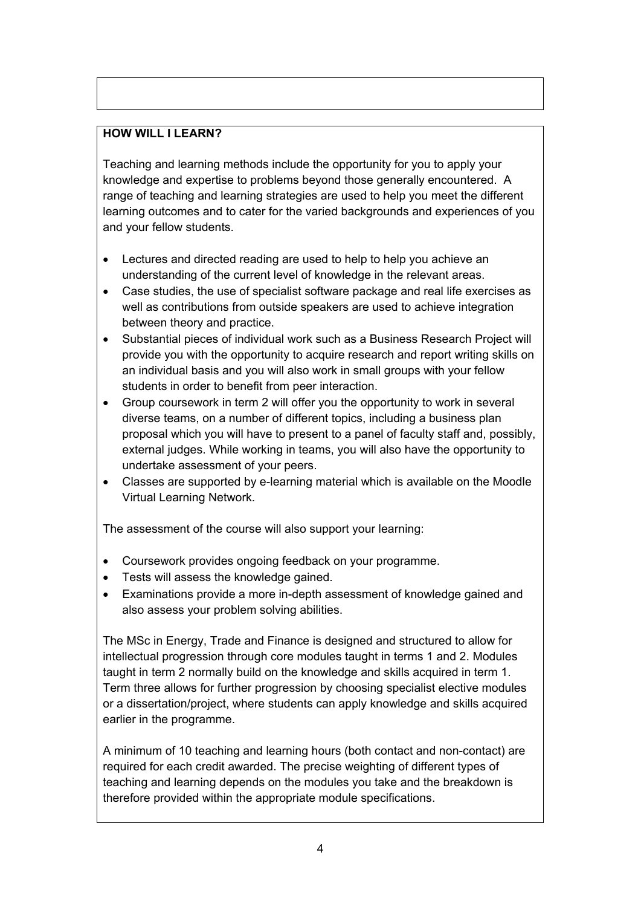# **HOW WILL I LEARN?**

Teaching and learning methods include the opportunity for you to apply your knowledge and expertise to problems beyond those generally encountered. A range of teaching and learning strategies are used to help you meet the different learning outcomes and to cater for the varied backgrounds and experiences of you and your fellow students.

- Lectures and directed reading are used to help to help you achieve an understanding of the current level of knowledge in the relevant areas.
- Case studies, the use of specialist software package and real life exercises as well as contributions from outside speakers are used to achieve integration between theory and practice.
- Substantial pieces of individual work such as a Business Research Project will provide you with the opportunity to acquire research and report writing skills on an individual basis and you will also work in small groups with your fellow students in order to benefit from peer interaction.
- Group coursework in term 2 will offer you the opportunity to work in several diverse teams, on a number of different topics, including a business plan proposal which you will have to present to a panel of faculty staff and, possibly, external judges. While working in teams, you will also have the opportunity to undertake assessment of your peers.
- Classes are supported by e-learning material which is available on the Moodle Virtual Learning Network.

The assessment of the course will also support your learning:

- Coursework provides ongoing feedback on your programme.
- Tests will assess the knowledge gained.
- Examinations provide a more in-depth assessment of knowledge gained and also assess your problem solving abilities.

The MSc in Energy, Trade and Finance is designed and structured to allow for intellectual progression through core modules taught in terms 1 and 2. Modules taught in term 2 normally build on the knowledge and skills acquired in term 1. Term three allows for further progression by choosing specialist elective modules or a dissertation/project, where students can apply knowledge and skills acquired earlier in the programme.

A minimum of 10 teaching and learning hours (both contact and non-contact) are required for each credit awarded. The precise weighting of different types of teaching and learning depends on the modules you take and the breakdown is therefore provided within the appropriate module specifications.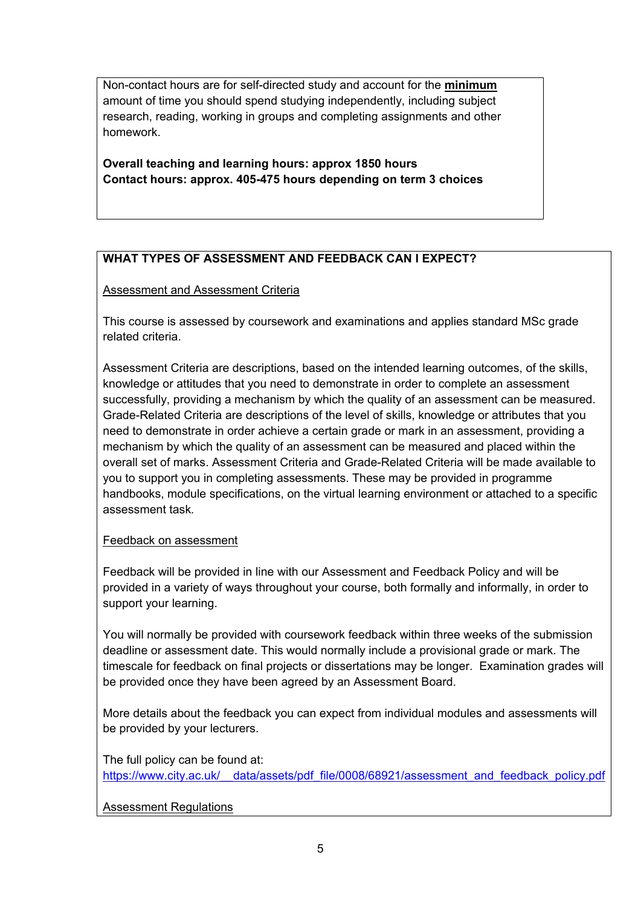Non-contact hours are for self-directed study and account for the **minimum**  amount of time you should spend studying independently, including subject research, reading, working in groups and completing assignments and other homework.

**Overall teaching and learning hours: approx 1850 hours Contact hours: approx. 405-475 hours depending on term 3 choices**

# **WHAT TYPES OF ASSESSMENT AND FEEDBACK CAN I EXPECT?**

### Assessment and Assessment Criteria

This course is assessed by coursework and examinations and applies standard MSc grade related criteria.

Assessment Criteria are descriptions, based on the intended learning outcomes, of the skills, knowledge or attitudes that you need to demonstrate in order to complete an assessment successfully, providing a mechanism by which the quality of an assessment can be measured. Grade-Related Criteria are descriptions of the level of skills, knowledge or attributes that you need to demonstrate in order achieve a certain grade or mark in an assessment, providing a mechanism by which the quality of an assessment can be measured and placed within the overall set of marks. Assessment Criteria and Grade-Related Criteria will be made available to you to support you in completing assessments. These may be provided in programme handbooks, module specifications, on the virtual learning environment or attached to a specific assessment task*.*

### Feedback on assessment

Feedback will be provided in line with our Assessment and Feedback Policy and will be provided in a variety of ways throughout your course, both formally and informally, in order to support your learning.

You will normally be provided with coursework feedback within three weeks of the submission deadline or assessment date. This would normally include a provisional grade or mark. The timescale for feedback on final projects or dissertations may be longer. Examination grades will be provided once they have been agreed by an Assessment Board.

More details about the feedback you can expect from individual modules and assessments will be provided by your lecturers.

The full policy can be found at: [https://www.city.ac.uk/\\_\\_data/assets/pdf\\_file/0008/68921/assessment\\_and\\_feedback\\_policy.pdf](https://www.city.ac.uk/__data/assets/pdf_file/0008/68921/assessment_and_feedback_policy.pdf)

# Assessment Regulations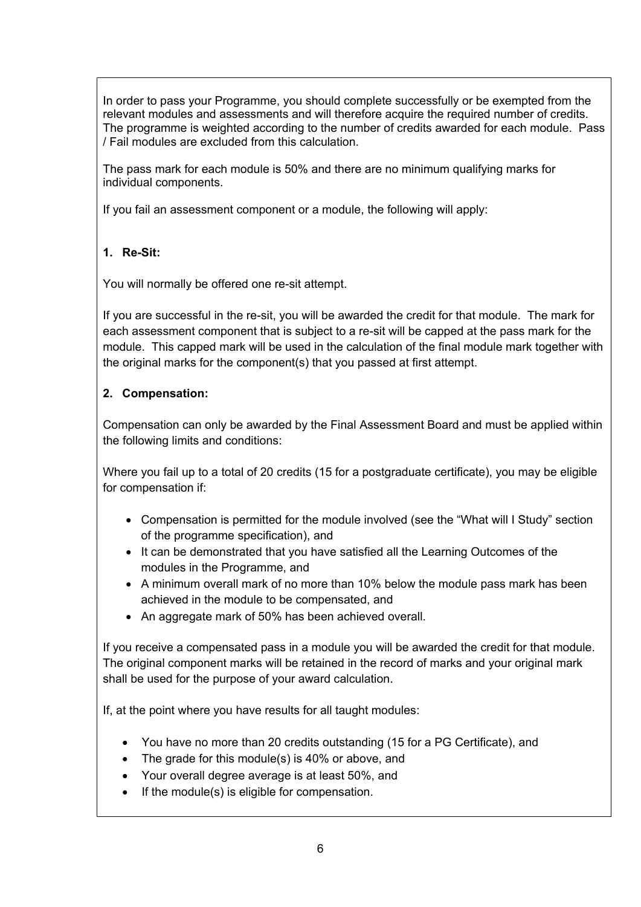In order to pass your Programme, you should complete successfully or be exempted from the relevant modules and assessments and will therefore acquire the required number of credits. The programme is weighted according to the number of credits awarded for each module. Pass / Fail modules are excluded from this calculation.

The pass mark for each module is 50% and there are no minimum qualifying marks for individual components.

If you fail an assessment component or a module, the following will apply:

# **1. Re-Sit:**

You will normally be offered one re-sit attempt.

If you are successful in the re-sit, you will be awarded the credit for that module. The mark for each assessment component that is subject to a re-sit will be capped at the pass mark for the module. This capped mark will be used in the calculation of the final module mark together with the original marks for the component(s) that you passed at first attempt.

# **2. Compensation:**

Compensation can only be awarded by the Final Assessment Board and must be applied within the following limits and conditions:

Where you fail up to a total of 20 credits (15 for a postgraduate certificate), you may be eligible for compensation if:

- Compensation is permitted for the module involved (see the "What will I Study" section of the programme specification), and
- It can be demonstrated that you have satisfied all the Learning Outcomes of the modules in the Programme, and
- A minimum overall mark of no more than 10% below the module pass mark has been achieved in the module to be compensated, and
- An aggregate mark of 50% has been achieved overall.

If you receive a compensated pass in a module you will be awarded the credit for that module. The original component marks will be retained in the record of marks and your original mark shall be used for the purpose of your award calculation.

If, at the point where you have results for all taught modules:

- You have no more than 20 credits outstanding (15 for a PG Certificate), and
- The grade for this module(s) is 40% or above, and
- Your overall degree average is at least 50%, and
- If the module(s) is eligible for compensation.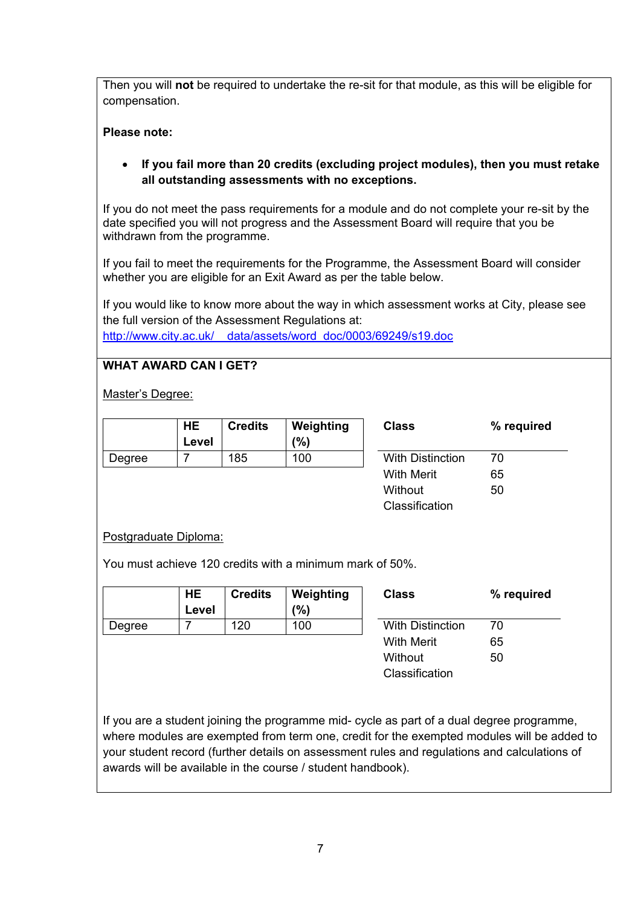Then you will **not** be required to undertake the re-sit for that module, as this will be eligible for compensation.

### **Please note:**

## • **If you fail more than 20 credits (excluding project modules), then you must retake all outstanding assessments with no exceptions.**

If you do not meet the pass requirements for a module and do not complete your re-sit by the date specified you will not progress and the Assessment Board will require that you be withdrawn from the programme.

If you fail to meet the requirements for the Programme, the Assessment Board will consider whether you are eligible for an Exit Award as per the table below.

If you would like to know more about the way in which assessment works at City, please see the full version of the Assessment Regulations at: [http://www.city.ac.uk/\\_\\_data/assets/word\\_doc/0003/69249/s19.doc](http://www.city.ac.uk/__data/assets/word_doc/0003/69249/s19.doc)

### **WHAT AWARD CAN I GET?**

Master's Degree:

|        | HE<br>Level | <b>Credits</b> | Weighting<br>(9/6) | <b>Class</b>            | $\%$ |
|--------|-------------|----------------|--------------------|-------------------------|------|
| Degree |             | 185            | 100                | <b>With Distinction</b> | 70   |
|        |             |                |                    |                         |      |

| Class                   | % required |  |  |
|-------------------------|------------|--|--|
| <b>With Distinction</b> | 70         |  |  |
| With Merit              | 65         |  |  |
| Without                 | 50         |  |  |
| Classification          |            |  |  |

### Postgraduate Diploma:

You must achieve 120 credits with a minimum mark of 50%.

|        | <b>HE</b><br>Level | <b>Credits</b> | Weighting<br>(9) | <b>Class</b>            | $\%$ |
|--------|--------------------|----------------|------------------|-------------------------|------|
| Degree |                    | 120            | 100              | <b>With Distinction</b> | 70   |
|        |                    |                |                  | <b>With Merit</b>       | 65   |

| Class                   | % required |  |  |
|-------------------------|------------|--|--|
| <b>With Distinction</b> | 70         |  |  |
| With Merit              | 65         |  |  |
| Without                 | 50         |  |  |
| Classification          |            |  |  |

If you are a student joining the programme mid- cycle as part of a dual degree programme, where modules are exempted from term one, credit for the exempted modules will be added to your student record (further details on assessment rules and regulations and calculations of awards will be available in the course / student handbook).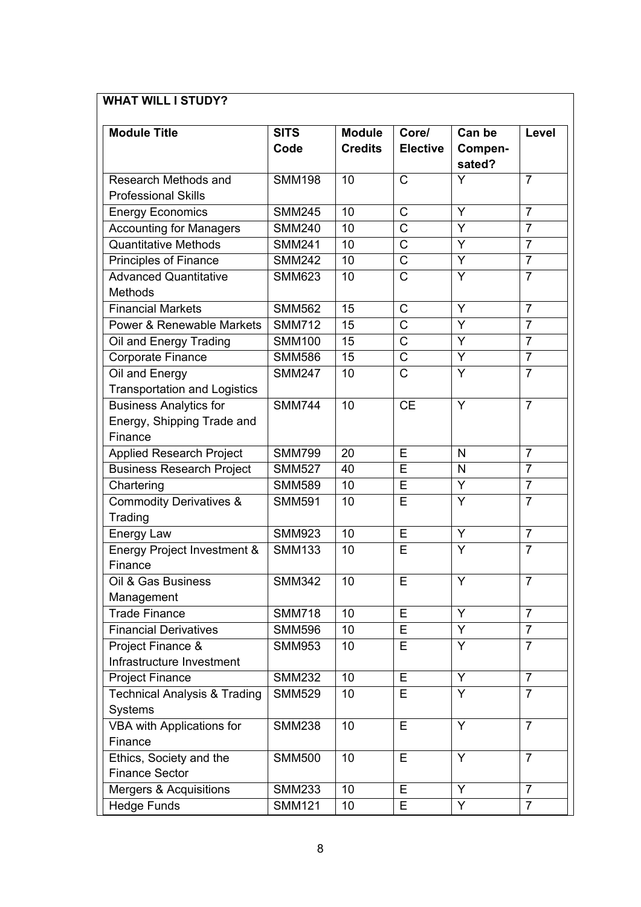# **WHAT WILL I STUDY?**

| <b>Module Title</b>                     | <b>SITS</b><br>Code | <b>Module</b><br><b>Credits</b> | Core/<br><b>Elective</b> | Can be<br>Compen- | Level          |
|-----------------------------------------|---------------------|---------------------------------|--------------------------|-------------------|----------------|
| Research Methods and                    | <b>SMM198</b>       | 10                              | $\mathsf{C}$             | sated?<br>Y       | $\overline{7}$ |
| <b>Professional Skills</b>              |                     |                                 |                          |                   |                |
| <b>Energy Economics</b>                 | <b>SMM245</b>       | 10                              | C                        | Y                 | $\overline{7}$ |
| <b>Accounting for Managers</b>          | <b>SMM240</b>       | 10                              | $\mathsf{C}$             | Y                 | $\overline{7}$ |
| <b>Quantitative Methods</b>             | <b>SMM241</b>       | 10                              | C                        | Y                 | $\overline{7}$ |
| <b>Principles of Finance</b>            | <b>SMM242</b>       | 10                              | $\overline{C}$           | Y                 | $\overline{7}$ |
| <b>Advanced Quantitative</b>            | <b>SMM623</b>       | 10                              | $\mathsf{C}$             | Ÿ                 | $\overline{7}$ |
| Methods                                 |                     |                                 |                          |                   |                |
| <b>Financial Markets</b>                | <b>SMM562</b>       | 15                              | C                        | Y                 | $\overline{7}$ |
| <b>Power &amp; Renewable Markets</b>    | <b>SMM712</b>       | 15                              | C                        | Ÿ                 | $\overline{7}$ |
| Oil and Energy Trading                  | <b>SMM100</b>       | 15                              | $\mathsf C$              | Ÿ                 | $\overline{7}$ |
| Corporate Finance                       | <b>SMM586</b>       | 15                              | $\mathsf C$              | Ÿ                 | $\overline{7}$ |
| Oil and Energy                          | <b>SMM247</b>       | 10                              | $\mathsf{C}$             | Ÿ                 | $\overline{7}$ |
| <b>Transportation and Logistics</b>     |                     |                                 |                          |                   |                |
| <b>Business Analytics for</b>           | <b>SMM744</b>       | 10                              | <b>CE</b>                | $\overline{Y}$    | $\overline{7}$ |
| Energy, Shipping Trade and              |                     |                                 |                          |                   |                |
| Finance                                 |                     |                                 |                          |                   |                |
| <b>Applied Research Project</b>         | <b>SMM799</b>       | 20                              | E                        | $\mathsf{N}$      | $\overline{7}$ |
| <b>Business Research Project</b>        | <b>SMM527</b>       | 40                              | E                        | N                 | $\overline{7}$ |
| Chartering                              | <b>SMM589</b>       | 10                              | E                        | Y                 | $\overline{7}$ |
| <b>Commodity Derivatives &amp;</b>      | <b>SMM591</b>       | 10                              | E                        | $\overline{Y}$    | $\overline{7}$ |
| Trading                                 |                     |                                 |                          |                   |                |
| <b>Energy Law</b>                       | <b>SMM923</b>       | 10                              | E                        | Ÿ                 | $\overline{7}$ |
| Energy Project Investment &             | <b>SMM133</b>       | 10                              | Е                        | Y                 | $\overline{7}$ |
| Finance                                 |                     |                                 |                          |                   |                |
| Oil & Gas Business                      | <b>SMM342</b>       | 10                              | E                        | Y                 | $\overline{7}$ |
| Management                              |                     |                                 |                          |                   |                |
| <b>Trade Finance</b>                    | <b>SMM718</b>       | 10                              | Е                        | Y                 | $\overline{7}$ |
| <b>Financial Derivatives</b>            | <b>SMM596</b>       | 10                              | E                        | Y                 | $\overline{7}$ |
| Project Finance &                       | <b>SMM953</b>       | 10                              | Е                        | Y                 | $\overline{7}$ |
| Infrastructure Investment               |                     |                                 |                          |                   |                |
| <b>Project Finance</b>                  | <b>SMM232</b>       | 10                              | E                        | Y                 | $\overline{7}$ |
| <b>Technical Analysis &amp; Trading</b> | <b>SMM529</b>       | 10                              | Е                        | Y                 | $\overline{7}$ |
| <b>Systems</b>                          |                     |                                 |                          |                   |                |
| <b>VBA with Applications for</b>        | <b>SMM238</b>       | 10                              | E                        | Y                 | $\overline{7}$ |
| Finance                                 |                     |                                 |                          |                   |                |
| Ethics, Society and the                 | <b>SMM500</b>       | 10                              | Е                        | Y                 | $\overline{7}$ |
| <b>Finance Sector</b>                   |                     |                                 |                          |                   |                |
| <b>Mergers &amp; Acquisitions</b>       | <b>SMM233</b>       | 10                              | E                        | Y                 | $\overline{7}$ |
| <b>Hedge Funds</b>                      | <b>SMM121</b>       | 10 <sup>1</sup>                 | Е                        | Y                 | $\overline{7}$ |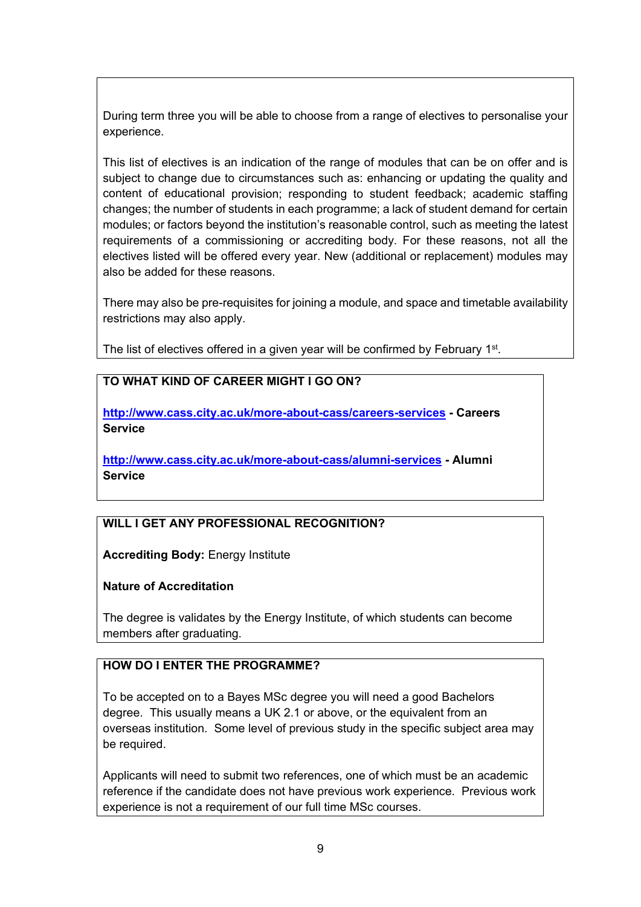During term three you will be able to choose from a range of electives to personalise your experience.

This list of electives is an indication of the range of modules that can be on offer and is subject to change due to circumstances such as: enhancing or updating the quality and content of educational provision; responding to student feedback; academic staffing changes; the number of students in each programme; a lack of student demand for certain modules; or factors beyond the institution's reasonable control, such as meeting the latest requirements of a commissioning or accrediting body. For these reasons, not all the electives listed will be offered every year. New (additional or replacement) modules may also be added for these reasons.

There may also be pre-requisites for joining a module, and space and timetable availability restrictions may also apply.

The list of electives offered in a given year will be confirmed by February 1<sup>st</sup>.

### **TO WHAT KIND OF CAREER MIGHT I GO ON?**

**<http://www.cass.city.ac.uk/more-about-cass/careers-services> - Careers Service**

**<http://www.cass.city.ac.uk/more-about-cass/alumni-services> - Alumni Service**

# **WILL I GET ANY PROFESSIONAL RECOGNITION?**

**Accrediting Body:** Energy Institute

### **Nature of Accreditation**

The degree is validates by the Energy Institute, of which students can become members after graduating.

### **HOW DO I ENTER THE PROGRAMME?**

To be accepted on to a Bayes MSc degree you will need a good Bachelors degree. This usually means a UK 2.1 or above, or the equivalent from an overseas institution. Some level of previous study in the specific subject area may be required.

Applicants will need to submit two references, one of which must be an academic reference if the candidate does not have previous work experience. Previous work experience is not a requirement of our full time MSc courses.